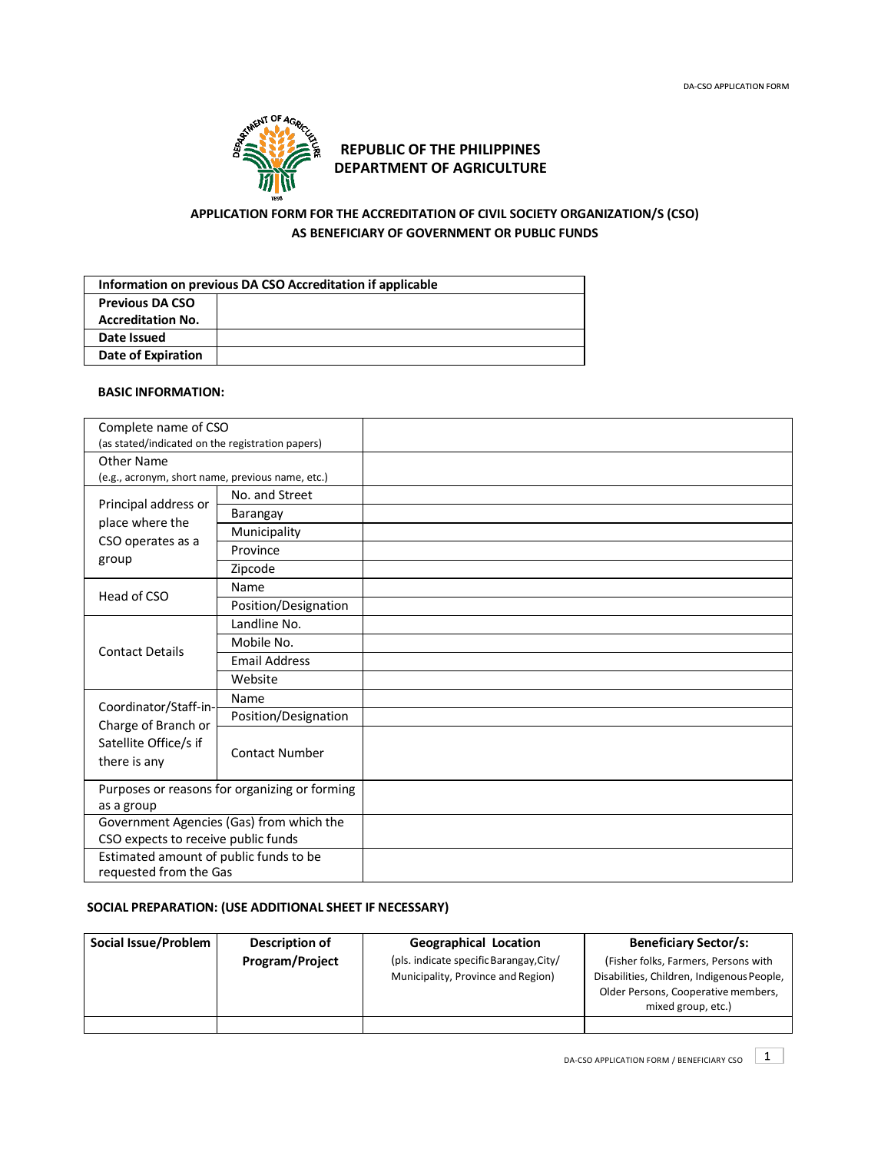

# **DEPARTMENT OF AGRICULTURE REPUBLIC OF THE PHILIPPINES**

## **APPLICATION FORM FOR THE ACCREDITATION OF CIVIL SOCIETY ORGANIZATION/S (CSO) AS BENEFICIARY OF GOVERNMENT OR PUBLIC FUNDS**

| Information on previous DA CSO Accreditation if applicable |  |  |  |  |
|------------------------------------------------------------|--|--|--|--|
| <b>Previous DA CSO</b>                                     |  |  |  |  |
| <b>Accreditation No.</b>                                   |  |  |  |  |
| Date Issued                                                |  |  |  |  |
| Date of Expiration                                         |  |  |  |  |

### **BASIC INFORMATION:**

| Complete name of CSO                                                                  |                       |  |
|---------------------------------------------------------------------------------------|-----------------------|--|
| (as stated/indicated on the registration papers)                                      |                       |  |
| Other Name                                                                            |                       |  |
| (e.g., acronym, short name, previous name, etc.)                                      |                       |  |
| Principal address or<br>place where the<br>CSO operates as a                          | No. and Street        |  |
|                                                                                       | Barangay              |  |
|                                                                                       | Municipality          |  |
| group                                                                                 | Province              |  |
|                                                                                       | Zipcode               |  |
| Head of CSO                                                                           | Name                  |  |
|                                                                                       | Position/Designation  |  |
| <b>Contact Details</b>                                                                | Landline No.          |  |
|                                                                                       | Mobile No.            |  |
|                                                                                       | <b>Email Address</b>  |  |
|                                                                                       | Website               |  |
| Coordinator/Staff-in-<br>Charge of Branch or<br>Satellite Office/s if<br>there is any | Name                  |  |
|                                                                                       | Position/Designation  |  |
|                                                                                       | <b>Contact Number</b> |  |
| Purposes or reasons for organizing or forming                                         |                       |  |
| as a group                                                                            |                       |  |
| Government Agencies (Gas) from which the                                              |                       |  |
| CSO expects to receive public funds                                                   |                       |  |
| Estimated amount of public funds to be                                                |                       |  |
| requested from the Gas                                                                |                       |  |

## **SOCIAL PREPARATION: (USE ADDITIONAL SHEET IF NECESSARY)**

| Social Issue/Problem | Description of         | <b>Geographical Location</b>            | <b>Beneficiary Sector/s:</b>                                                                            |
|----------------------|------------------------|-----------------------------------------|---------------------------------------------------------------------------------------------------------|
|                      | <b>Program/Project</b> | (pls. indicate specific Barangay, City/ | (Fisher folks, Farmers, Persons with                                                                    |
|                      |                        | Municipality, Province and Region)      | Disabilities, Children, Indigenous People,<br>Older Persons, Cooperative members,<br>mixed group, etc.) |
|                      |                        |                                         |                                                                                                         |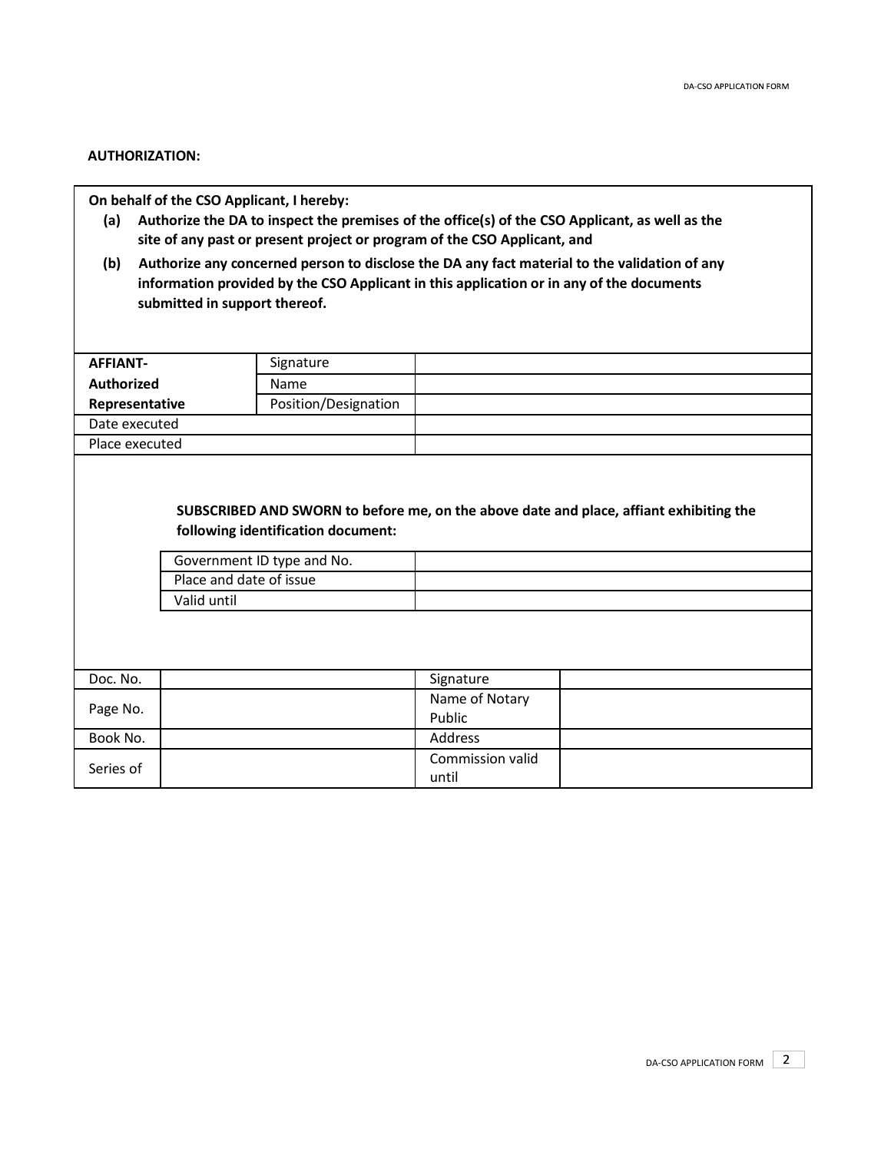### **AUTHORIZATION:**

**On behalf of the CSO Applicant, I hereby:**

- **(a) Authorize the DA to inspect the premises of the office(s) of the CSO Applicant, as well as the site of any past or present project or program of the CSO Applicant, and**
- **(b) Authorize any concerned person to disclose the DA any fact material to the validation of any information provided by the CSO Applicant in this application or in any of the documents submitted in support thereof.**

| <b>AFFIANT-</b>   |                                        | Signature                                                        |                           |                                                                                        |
|-------------------|----------------------------------------|------------------------------------------------------------------|---------------------------|----------------------------------------------------------------------------------------|
| <b>Authorized</b> |                                        | Name                                                             |                           |                                                                                        |
| Representative    |                                        | Position/Designation                                             |                           |                                                                                        |
| Date executed     |                                        |                                                                  |                           |                                                                                        |
| Place executed    |                                        |                                                                  |                           |                                                                                        |
|                   | Place and date of issue<br>Valid until | following identification document:<br>Government ID type and No. |                           | SUBSCRIBED AND SWORN to before me, on the above date and place, affiant exhibiting the |
| Doc. No.          |                                        |                                                                  | Signature                 |                                                                                        |
| Page No.          |                                        |                                                                  | Name of Notary<br>Public  |                                                                                        |
| Book No.          |                                        |                                                                  | <b>Address</b>            |                                                                                        |
| Series of         |                                        |                                                                  | Commission valid<br>until |                                                                                        |